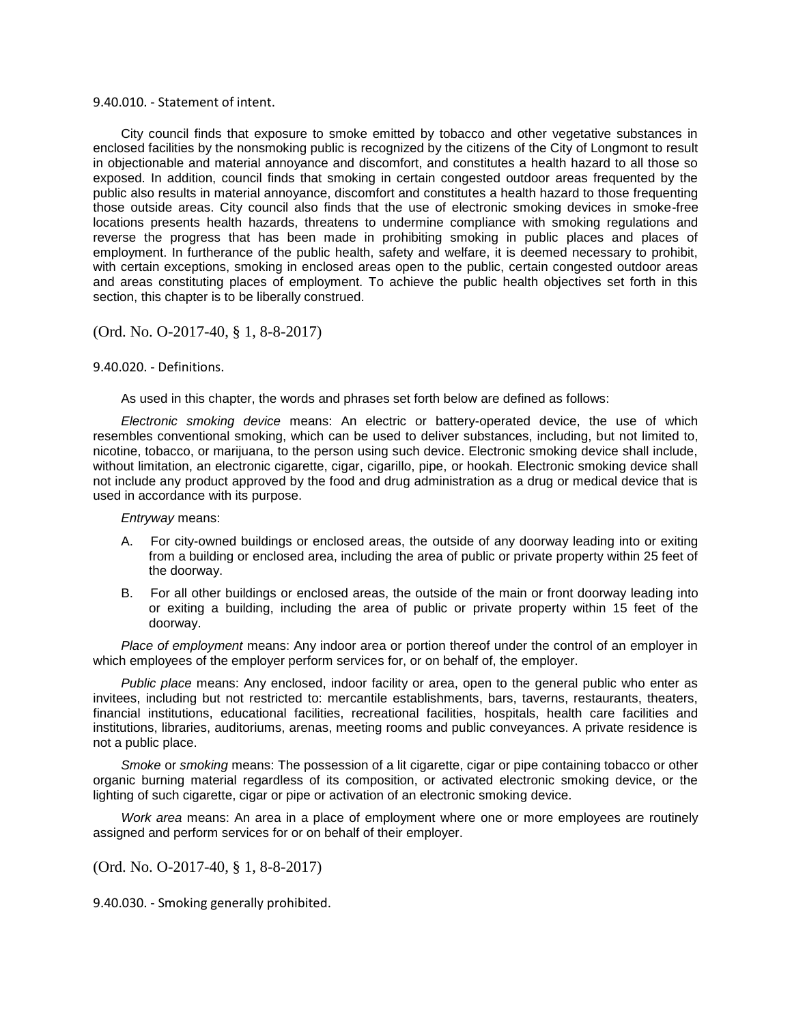## 9.40.010. - Statement of intent.

City council finds that exposure to smoke emitted by tobacco and other vegetative substances in enclosed facilities by the nonsmoking public is recognized by the citizens of the City of Longmont to result in objectionable and material annoyance and discomfort, and constitutes a health hazard to all those so exposed. In addition, council finds that smoking in certain congested outdoor areas frequented by the public also results in material annoyance, discomfort and constitutes a health hazard to those frequenting those outside areas. City council also finds that the use of electronic smoking devices in smoke-free locations presents health hazards, threatens to undermine compliance with smoking regulations and reverse the progress that has been made in prohibiting smoking in public places and places of employment. In furtherance of the public health, safety and welfare, it is deemed necessary to prohibit, with certain exceptions, smoking in enclosed areas open to the public, certain congested outdoor areas and areas constituting places of employment. To achieve the public health objectives set forth in this section, this chapter is to be liberally construed.

## (Ord. No. O-2017-40, § 1, 8-8-2017)

## 9.40.020. - Definitions.

As used in this chapter, the words and phrases set forth below are defined as follows:

*Electronic smoking device* means: An electric or battery-operated device, the use of which resembles conventional smoking, which can be used to deliver substances, including, but not limited to, nicotine, tobacco, or marijuana, to the person using such device. Electronic smoking device shall include, without limitation, an electronic cigarette, cigar, cigarillo, pipe, or hookah. Electronic smoking device shall not include any product approved by the food and drug administration as a drug or medical device that is used in accordance with its purpose.

*Entryway* means:

- A. For city-owned buildings or enclosed areas, the outside of any doorway leading into or exiting from a building or enclosed area, including the area of public or private property within 25 feet of the doorway.
- B. For all other buildings or enclosed areas, the outside of the main or front doorway leading into or exiting a building, including the area of public or private property within 15 feet of the doorway.

*Place of employment* means: Any indoor area or portion thereof under the control of an employer in which employees of the employer perform services for, or on behalf of, the employer.

*Public place* means: Any enclosed, indoor facility or area, open to the general public who enter as invitees, including but not restricted to: mercantile establishments, bars, taverns, restaurants, theaters, financial institutions, educational facilities, recreational facilities, hospitals, health care facilities and institutions, libraries, auditoriums, arenas, meeting rooms and public conveyances. A private residence is not a public place.

*Smoke* or *smoking* means: The possession of a lit cigarette, cigar or pipe containing tobacco or other organic burning material regardless of its composition, or activated electronic smoking device, or the lighting of such cigarette, cigar or pipe or activation of an electronic smoking device.

*Work area* means: An area in a place of employment where one or more employees are routinely assigned and perform services for or on behalf of their employer.

(Ord. No. O-2017-40, § 1, 8-8-2017)

9.40.030. - Smoking generally prohibited.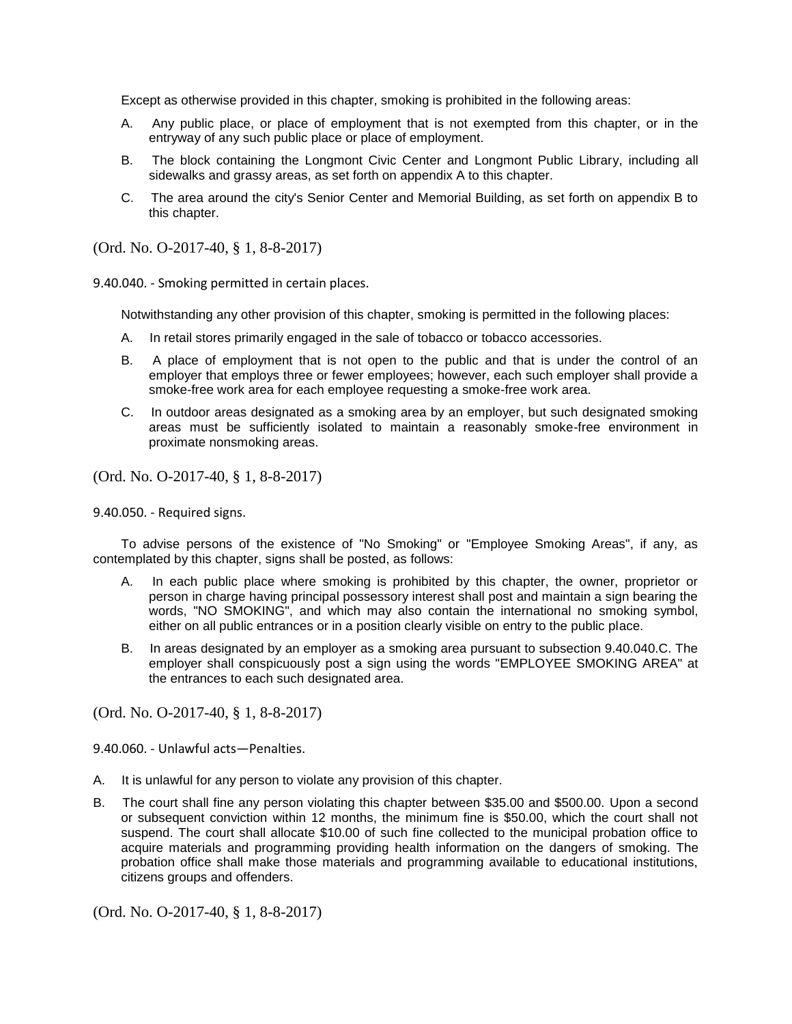Except as otherwise provided in this chapter, smoking is prohibited in the following areas:

- A. Any public place, or place of employment that is not exempted from this chapter, or in the entryway of any such public place or place of employment.
- B. The block containing the Longmont Civic Center and Longmont Public Library, including all sidewalks and grassy areas, as set forth on appendix A to this chapter.
- C. The area around the city's Senior Center and Memorial Building, as set forth on appendix B to this chapter.

(Ord. No. O-2017-40, § 1, 8-8-2017)

9.40.040. - Smoking permitted in certain places.

Notwithstanding any other provision of this chapter, smoking is permitted in the following places:

- A. In retail stores primarily engaged in the sale of tobacco or tobacco accessories.
- B. A place of employment that is not open to the public and that is under the control of an employer that employs three or fewer employees; however, each such employer shall provide a smoke-free work area for each employee requesting a smoke-free work area.
- C. In outdoor areas designated as a smoking area by an employer, but such designated smoking areas must be sufficiently isolated to maintain a reasonably smoke-free environment in proximate nonsmoking areas.

(Ord. No. O-2017-40, § 1, 8-8-2017)

9.40.050. - Required signs.

To advise persons of the existence of "No Smoking" or "Employee Smoking Areas", if any, as contemplated by this chapter, signs shall be posted, as follows:

- A. In each public place where smoking is prohibited by this chapter, the owner, proprietor or person in charge having principal possessory interest shall post and maintain a sign bearing the words, "NO SMOKING", and which may also contain the international no smoking symbol, either on all public entrances or in a position clearly visible on entry to the public place.
- B. In areas designated by an employer as a smoking area pursuant to subsection 9.40.040.C. The employer shall conspicuously post a sign using the words "EMPLOYEE SMOKING AREA" at the entrances to each such designated area.

(Ord. No. O-2017-40, § 1, 8-8-2017)

9.40.060. - Unlawful acts—Penalties.

- A. It is unlawful for any person to violate any provision of this chapter.
- B. The court shall fine any person violating this chapter between \$35.00 and \$500.00. Upon a second or subsequent conviction within 12 months, the minimum fine is \$50.00, which the court shall not suspend. The court shall allocate \$10.00 of such fine collected to the municipal probation office to acquire materials and programming providing health information on the dangers of smoking. The probation office shall make those materials and programming available to educational institutions, citizens groups and offenders.

(Ord. No. O-2017-40, § 1, 8-8-2017)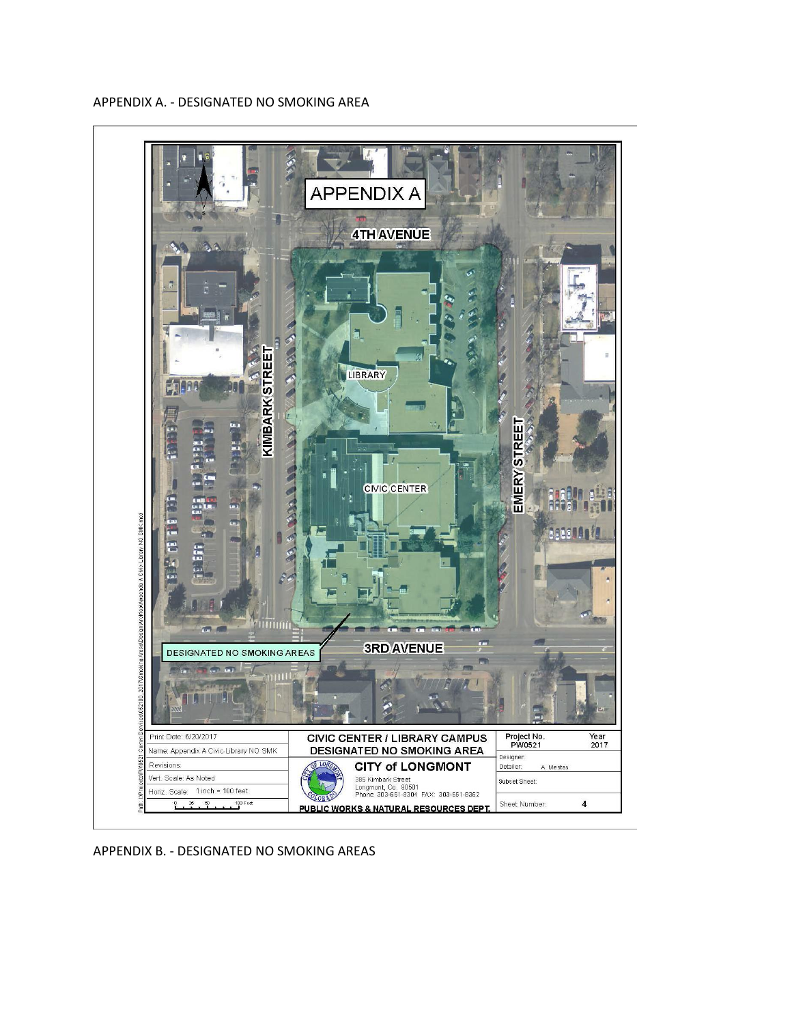

APPENDIX A. - DESIGNATED NO SMOKING AREA

APPENDIX B. - DESIGNATED NO SMOKING AREAS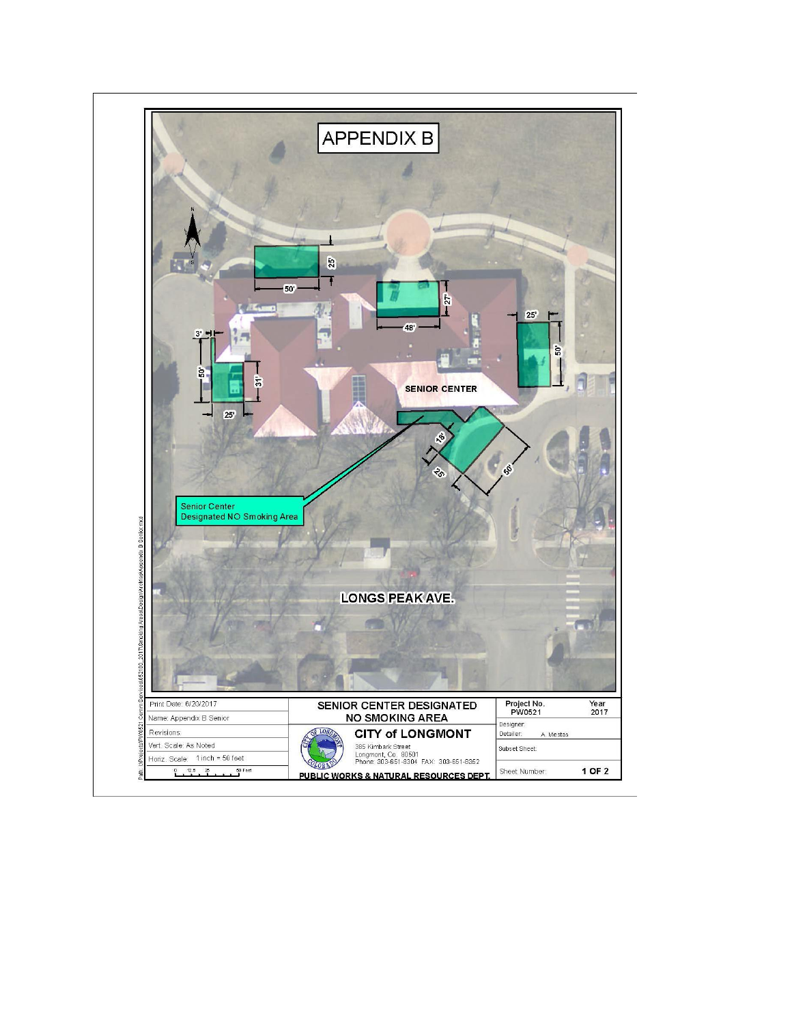